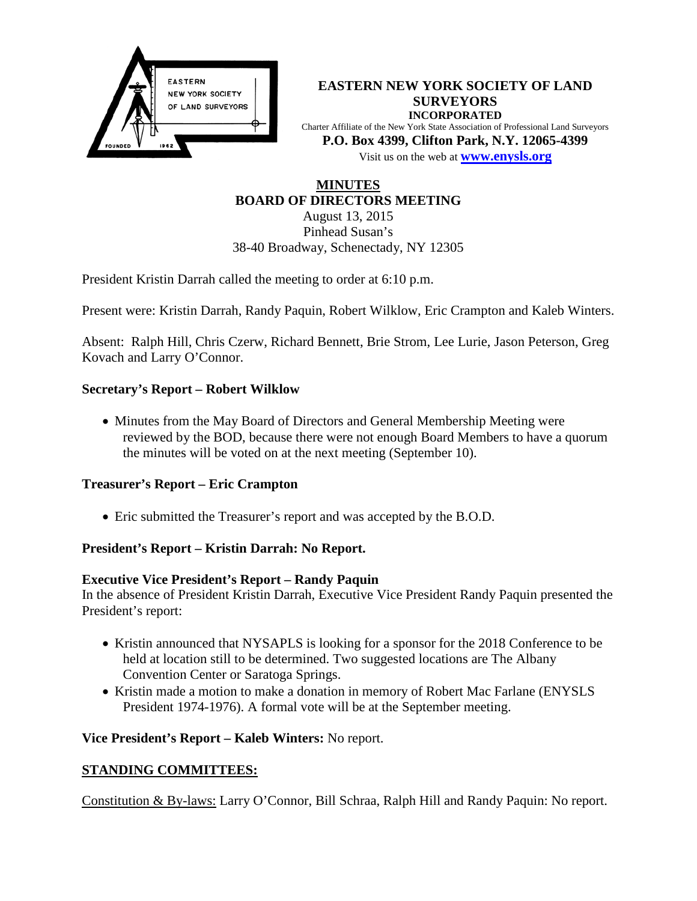

**EASTERN NEW YORK SOCIETY OF LAND SURVEYORS INCORPORATED** Charter Affiliate of the New York State Association of Professional Land Surveyors **P.O. Box 4399, Clifton Park, N.Y. 12065-4399** Visit us on the web at **[www.e](http://www.enysls.org/)nysls.org**

# **MINUTES BOARD OF DIRECTORS MEETING**

August 13, 2015 Pinhead Susan's 38-40 Broadway, Schenectady, NY 12305

President Kristin Darrah called the meeting to order at 6:10 p.m.

Present were: Kristin Darrah, Randy Paquin, Robert Wilklow, Eric Crampton and Kaleb Winters.

Absent: Ralph Hill, Chris Czerw, Richard Bennett, Brie Strom, Lee Lurie, Jason Peterson, Greg Kovach and Larry O'Connor.

# **Secretary's Report – Robert Wilklow**

• Minutes from the May Board of Directors and General Membership Meeting were reviewed by the BOD, because there were not enough Board Members to have a quorum the minutes will be voted on at the next meeting (September 10).

### **Treasurer's Report – Eric Crampton**

• Eric submitted the Treasurer's report and was accepted by the B.O.D.

# **President's Report – Kristin Darrah: No Report.**

### **Executive Vice President's Report – Randy Paquin**

In the absence of President Kristin Darrah, Executive Vice President Randy Paquin presented the President's report:

- Kristin announced that NYSAPLS is looking for a sponsor for the 2018 Conference to be held at location still to be determined. Two suggested locations are The Albany Convention Center or Saratoga Springs.
- Kristin made a motion to make a donation in memory of Robert Mac Farlane (ENYSLS President 1974-1976). A formal vote will be at the September meeting.

### **Vice President's Report – Kaleb Winters:** No report.

### **STANDING COMMITTEES:**

Constitution & By-laws: Larry O'Connor, Bill Schraa, Ralph Hill and Randy Paquin: No report.